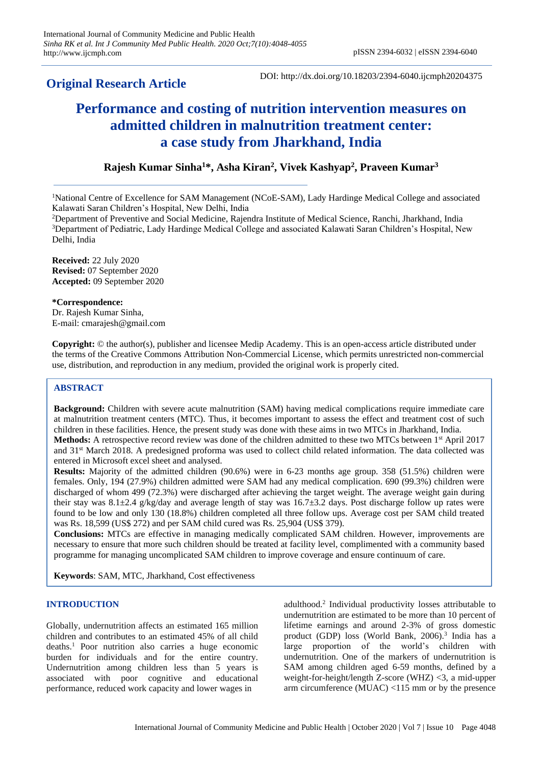# **Original Research Article**

DOI: http://dx.doi.org/10.18203/2394-6040.ijcmph20204375

# **Performance and costing of nutrition intervention measures on admitted children in malnutrition treatment center: a case study from Jharkhand, India**

# **Rajesh Kumar Sinha<sup>1</sup>\*, Asha Kiran<sup>2</sup> , Vivek Kashyap<sup>2</sup> , Praveen Kumar<sup>3</sup>**

<sup>2</sup>Department of Preventive and Social Medicine, Rajendra Institute of Medical Science, Ranchi, Jharkhand, India <sup>3</sup>Department of Pediatric, Lady Hardinge Medical College and associated Kalawati Saran Children's Hospital, New Delhi, India

**Received:** 22 July 2020 **Revised:** 07 September 2020 **Accepted:** 09 September 2020

#### **\*Correspondence:**

Dr. Rajesh Kumar Sinha, E-mail: cmarajesh@gmail.com

**Copyright:** © the author(s), publisher and licensee Medip Academy. This is an open-access article distributed under the terms of the Creative Commons Attribution Non-Commercial License, which permits unrestricted non-commercial use, distribution, and reproduction in any medium, provided the original work is properly cited.

#### **ABSTRACT**

**Background:** Children with severe acute malnutrition (SAM) having medical complications require immediate care at malnutrition treatment centers (MTC). Thus, it becomes important to assess the effect and treatment cost of such children in these facilities. Hence, the present study was done with these aims in two MTCs in Jharkhand, India. **Methods:** A retrospective record review was done of the children admitted to these two MTCs between 1<sup>st</sup> April 2017 and 31st March 2018. A predesigned proforma was used to collect child related information. The data collected was entered in Microsoft excel sheet and analysed.

**Results:** Majority of the admitted children (90.6%) were in 6-23 months age group. 358 (51.5%) children were females. Only, 194 (27.9%) children admitted were SAM had any medical complication. 690 (99.3%) children were discharged of whom 499 (72.3%) were discharged after achieving the target weight. The average weight gain during their stay was  $8.1\pm2.4$  g/kg/day and average length of stay was  $16.7\pm3.2$  days. Post discharge follow up rates were found to be low and only 130 (18.8%) children completed all three follow ups. Average cost per SAM child treated was Rs. 18,599 (US\$ 272) and per SAM child cured was Rs. 25,904 (US\$ 379).

**Conclusions:** MTCs are effective in managing medically complicated SAM children. However, improvements are necessary to ensure that more such children should be treated at facility level, complimented with a community based programme for managing uncomplicated SAM children to improve coverage and ensure continuum of care.

**Keywords**: SAM, MTC, Jharkhand, Cost effectiveness

## **INTRODUCTION**

Globally, undernutrition affects an estimated 165 million children and contributes to an estimated 45% of all child deaths.<sup>1</sup> Poor nutrition also carries a huge economic burden for individuals and for the entire country. Undernutrition among children less than 5 years is associated with poor cognitive and educational performance, reduced work capacity and lower wages in

adulthood.<sup>2</sup> Individual productivity losses attributable to undernutrition are estimated to be more than 10 percent of lifetime earnings and around 2-3% of gross domestic product (GDP) loss (World Bank, 2006).<sup>3</sup> India has a large proportion of the world's children with undernutrition. One of the markers of undernutrition is SAM among children aged 6-59 months, defined by a weight-for-height/length Z-score (WHZ) <3, a mid-upper arm circumference (MUAC) <115 mm or by the presence

<sup>&</sup>lt;sup>1</sup>National Centre of Excellence for SAM Management (NCoE-SAM), Lady Hardinge Medical College and associated Kalawati Saran Children's Hospital, New Delhi, India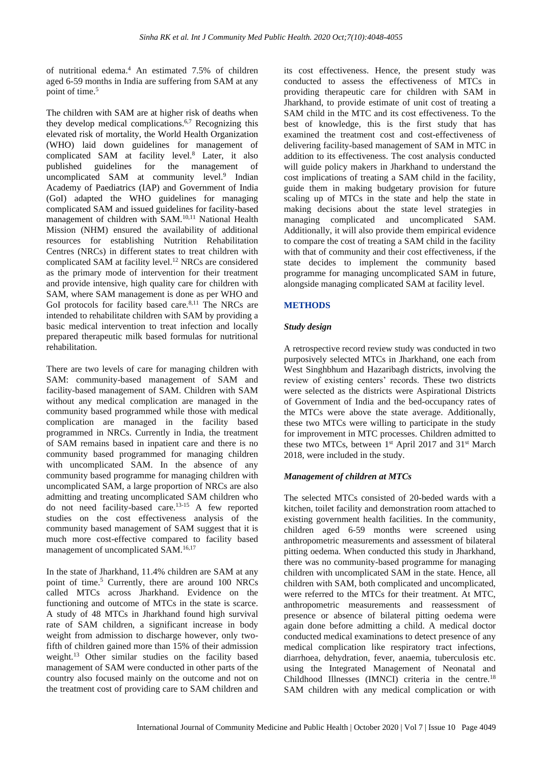of nutritional edema.<sup>4</sup> An estimated 7.5% of children aged 6-59 months in India are suffering from SAM at any point of time.<sup>5</sup>

The children with SAM are at higher risk of deaths when they develop medical complications.<sup>6,7</sup> Recognizing this elevated risk of mortality, the World Health Organization (WHO) laid down guidelines for management of complicated SAM at facility level.<sup>8</sup> Later, it also published guidelines for the management of uncomplicated SAM at community level.<sup>9</sup> Indian Academy of Paediatrics (IAP) and Government of India (GoI) adapted the WHO guidelines for managing complicated SAM and issued guidelines for facility-based management of children with SAM.<sup>10,11</sup> National Health Mission (NHM) ensured the availability of additional resources for establishing Nutrition Rehabilitation Centres (NRCs) in different states to treat children with complicated SAM at facility level.<sup>12</sup> NRCs are considered as the primary mode of intervention for their treatment and provide intensive, high quality care for children with SAM, where SAM management is done as per WHO and GoI protocols for facility based care.<sup>8,11</sup> The NRCs are intended to rehabilitate children with SAM by providing a basic medical intervention to treat infection and locally prepared therapeutic milk based formulas for nutritional rehabilitation.

There are two levels of care for managing children with SAM: community-based management of SAM and facility-based management of SAM. Children with SAM without any medical complication are managed in the community based programmed while those with medical complication are managed in the facility based programmed in NRCs. Currently in India, the treatment of SAM remains based in inpatient care and there is no community based programmed for managing children with uncomplicated SAM. In the absence of any community based programme for managing children with uncomplicated SAM, a large proportion of NRCs are also admitting and treating uncomplicated SAM children who do not need facility-based care.13-15 A few reported studies on the cost effectiveness analysis of the community based management of SAM suggest that it is much more cost-effective compared to facility based management of uncomplicated SAM.16,17

In the state of Jharkhand, 11.4% children are SAM at any point of time.<sup>5</sup> Currently, there are around 100 NRCs called MTCs across Jharkhand. Evidence on the functioning and outcome of MTCs in the state is scarce. A study of 48 MTCs in Jharkhand found high survival rate of SAM children, a significant increase in body weight from admission to discharge however, only twofifth of children gained more than 15% of their admission weight.<sup>13</sup> Other similar studies on the facility based management of SAM were conducted in other parts of the country also focused mainly on the outcome and not on the treatment cost of providing care to SAM children and

its cost effectiveness. Hence, the present study was conducted to assess the effectiveness of MTCs in providing therapeutic care for children with SAM in Jharkhand, to provide estimate of unit cost of treating a SAM child in the MTC and its cost effectiveness. To the best of knowledge, this is the first study that has examined the treatment cost and cost-effectiveness of delivering facility-based management of SAM in MTC in addition to its effectiveness. The cost analysis conducted will guide policy makers in Jharkhand to understand the cost implications of treating a SAM child in the facility, guide them in making budgetary provision for future scaling up of MTCs in the state and help the state in making decisions about the state level strategies in managing complicated and uncomplicated SAM. Additionally, it will also provide them empirical evidence to compare the cost of treating a SAM child in the facility with that of community and their cost effectiveness, if the state decides to implement the community based programme for managing uncomplicated SAM in future, alongside managing complicated SAM at facility level.

# **METHODS**

## *Study design*

A retrospective record review study was conducted in two purposively selected MTCs in Jharkhand, one each from West Singhbhum and Hazaribagh districts, involving the review of existing centers' records. These two districts were selected as the districts were Aspirational Districts of Government of India and the bed-occupancy rates of the MTCs were above the state average. Additionally, these two MTCs were willing to participate in the study for improvement in MTC processes. Children admitted to these two MTCs, between 1<sup>st</sup> April 2017 and 31<sup>st</sup> March 2018, were included in the study.

#### *Management of children at MTCs*

The selected MTCs consisted of 20-beded wards with a kitchen, toilet facility and demonstration room attached to existing government health facilities. In the community, children aged 6-59 months were screened using anthropometric measurements and assessment of bilateral pitting oedema. When conducted this study in Jharkhand, there was no community-based programme for managing children with uncomplicated SAM in the state. Hence, all children with SAM, both complicated and uncomplicated, were referred to the MTCs for their treatment. At MTC, anthropometric measurements and reassessment of presence or absence of bilateral pitting oedema were again done before admitting a child. A medical doctor conducted medical examinations to detect presence of any medical complication like respiratory tract infections, diarrhoea, dehydration, fever, anaemia, tuberculosis etc. using the Integrated Management of Neonatal and Childhood Illnesses (IMNCI) criteria in the centre.<sup>18</sup> SAM children with any medical complication or with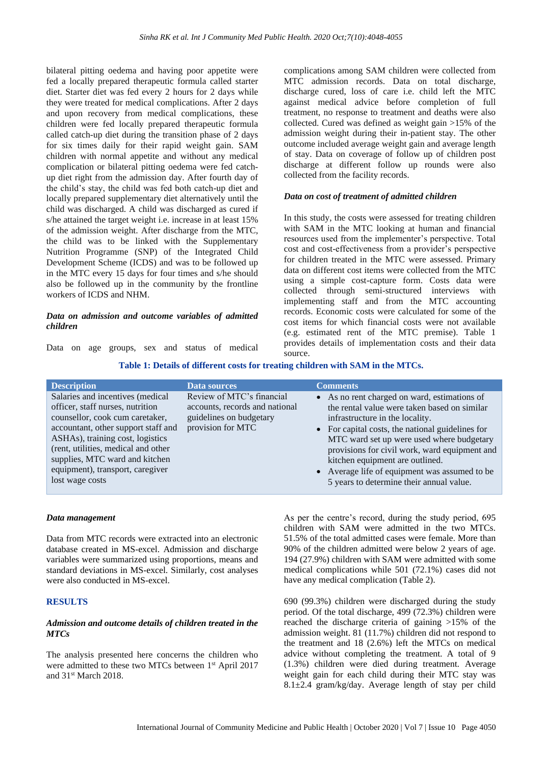bilateral pitting oedema and having poor appetite were fed a locally prepared therapeutic formula called starter diet. Starter diet was fed every 2 hours for 2 days while they were treated for medical complications. After 2 days and upon recovery from medical complications, these children were fed locally prepared therapeutic formula called catch-up diet during the transition phase of 2 days for six times daily for their rapid weight gain. SAM children with normal appetite and without any medical complication or bilateral pitting oedema were fed catchup diet right from the admission day. After fourth day of the child's stay, the child was fed both catch-up diet and locally prepared supplementary diet alternatively until the child was discharged. A child was discharged as cured if s/he attained the target weight i.e. increase in at least 15% of the admission weight. After discharge from the MTC, the child was to be linked with the Supplementary Nutrition Programme (SNP) of the Integrated Child Development Scheme (ICDS) and was to be followed up in the MTC every 15 days for four times and s/he should also be followed up in the community by the frontline workers of ICDS and NHM.

#### *Data on admission and outcome variables of admitted children*

Data on age groups, sex and status of medical

complications among SAM children were collected from MTC admission records. Data on total discharge, discharge cured, loss of care i.e. child left the MTC against medical advice before completion of full treatment, no response to treatment and deaths were also collected. Cured was defined as weight gain >15% of the admission weight during their in-patient stay. The other outcome included average weight gain and average length of stay. Data on coverage of follow up of children post discharge at different follow up rounds were also collected from the facility records.

#### *Data on cost of treatment of admitted children*

In this study, the costs were assessed for treating children with SAM in the MTC looking at human and financial resources used from the implementer's perspective. Total cost and cost-effectiveness from a provider's perspective for children treated in the MTC were assessed. Primary data on different cost items were collected from the MTC using a simple cost-capture form. Costs data were collected through semi-structured interviews with implementing staff and from the MTC accounting records. Economic costs were calculated for some of the cost items for which financial costs were not available (e.g. estimated rent of the MTC premise). Table 1 provides details of implementation costs and their data source.

#### **Table 1: Details of different costs for treating children with SAM in the MTCs.**

| <b>Description</b>                                                                                                                                                                                                                                                                                                 | <b>Data sources</b>                                                                                         | <b>Comments</b>                                                                                                                                                                                                                                                                                                                                                                                                   |
|--------------------------------------------------------------------------------------------------------------------------------------------------------------------------------------------------------------------------------------------------------------------------------------------------------------------|-------------------------------------------------------------------------------------------------------------|-------------------------------------------------------------------------------------------------------------------------------------------------------------------------------------------------------------------------------------------------------------------------------------------------------------------------------------------------------------------------------------------------------------------|
| Salaries and incentives (medical<br>officer, staff nurses, nutrition<br>counsellor, cook cum caretaker,<br>accountant, other support staff and<br>ASHAs), training cost, logistics<br>(rent, utilities, medical and other<br>supplies, MTC ward and kitchen<br>equipment), transport, caregiver<br>lost wage costs | Review of MTC's financial<br>accounts, records and national<br>guidelines on budgetary<br>provision for MTC | • As no rent charged on ward, estimations of<br>the rental value were taken based on similar<br>infrastructure in the locality.<br>• For capital costs, the national guidelines for<br>MTC ward set up were used where budgetary<br>provisions for civil work, ward equipment and<br>kitchen equipment are outlined.<br>• Average life of equipment was assumed to be<br>5 years to determine their annual value. |

#### *Data management*

Data from MTC records were extracted into an electronic database created in MS-excel. Admission and discharge variables were summarized using proportions, means and standard deviations in MS-excel. Similarly, cost analyses were also conducted in MS-excel.

#### **RESULTS**

#### *Admission and outcome details of children treated in the MTCs*

The analysis presented here concerns the children who were admitted to these two MTCs between 1<sup>st</sup> April 2017 and 31st March 2018.

As per the centre's record, during the study period, 695 children with SAM were admitted in the two MTCs. 51.5% of the total admitted cases were female. More than 90% of the children admitted were below 2 years of age. 194 (27.9%) children with SAM were admitted with some medical complications while 501 (72.1%) cases did not have any medical complication (Table 2).

690 (99.3%) children were discharged during the study period. Of the total discharge, 499 (72.3%) children were reached the discharge criteria of gaining >15% of the admission weight. 81 (11.7%) children did not respond to the treatment and 18 (2.6%) left the MTCs on medical advice without completing the treatment. A total of 9 (1.3%) children were died during treatment. Average weight gain for each child during their MTC stay was 8.1 $\pm$ 2.4 gram/kg/day. Average length of stay per child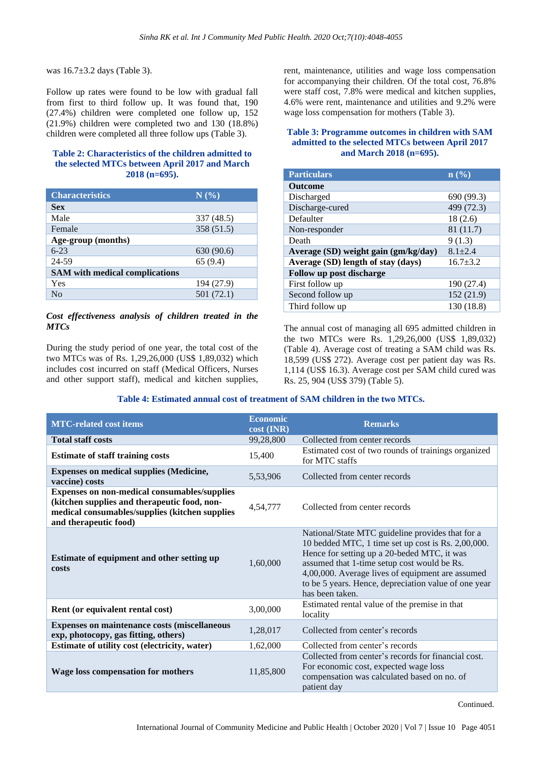was 16.7±3.2 days (Table 3).

Follow up rates were found to be low with gradual fall from first to third follow up. It was found that, 190 (27.4%) children were completed one follow up, 152 (21.9%) children were completed two and 130 (18.8%) children were completed all three follow ups (Table 3).

## **Table 2: Characteristics of the children admitted to the selected MTCs between April 2017 and March 2018 (n=695).**

| <b>Characteristics</b>                | N(%)       |  |  |
|---------------------------------------|------------|--|--|
| <b>Sex</b>                            |            |  |  |
| Male                                  | 337 (48.5) |  |  |
| Female                                | 358 (51.5) |  |  |
| Age-group (months)                    |            |  |  |
| $6 - 23$                              | 630 (90.6) |  |  |
| 24-59                                 | 65(9.4)    |  |  |
| <b>SAM</b> with medical complications |            |  |  |
| Yes                                   | 194 (27.9) |  |  |
| Nο                                    | 501 (72.1) |  |  |

#### *Cost effectiveness analysis of children treated in the MTCs*

During the study period of one year, the total cost of the two MTCs was of Rs. 1,29,26,000 (US\$ 1,89,032) which includes cost incurred on staff (Medical Officers, Nurses and other support staff), medical and kitchen supplies, rent, maintenance, utilities and wage loss compensation for accompanying their children. Of the total cost, 76.8% were staff cost, 7.8% were medical and kitchen supplies, 4.6% were rent, maintenance and utilities and 9.2% were wage loss compensation for mothers (Table 3).

#### **Table 3: Programme outcomes in children with SAM admitted to the selected MTCs between April 2017 and March 2018 (n=695).**

| <b>Particulars</b>                   | $\mathbf{n}(\%)$ |  |  |  |
|--------------------------------------|------------------|--|--|--|
| <b>Outcome</b>                       |                  |  |  |  |
| Discharged                           | 690 (99.3)       |  |  |  |
| Discharge-cured                      | 499 (72.3)       |  |  |  |
| Defaulter                            | 18(2.6)          |  |  |  |
| Non-responder                        | 81 (11.7)        |  |  |  |
| Death                                | 9(1.3)           |  |  |  |
| Average (SD) weight gain (gm/kg/day) | $8.1 + 2.4$      |  |  |  |
| Average (SD) length of stay (days)   | $16.7 \pm 3.2$   |  |  |  |
| Follow up post discharge             |                  |  |  |  |
| First follow up                      | 190 (27.4)       |  |  |  |
| Second follow up                     | 152 (21.9)       |  |  |  |
| Third follow up                      | 130 (18.8)       |  |  |  |

The annual cost of managing all 695 admitted children in the two MTCs were Rs. 1,29,26,000 (US\$ 1,89,032) (Table 4). Average cost of treating a SAM child was Rs. 18,599 (US\$ 272). Average cost per patient day was Rs. 1,114 (US\$ 16.3). Average cost per SAM child cured was Rs. 25, 904 (US\$ 379) (Table 5).

#### **Table 4: Estimated annual cost of treatment of SAM children in the two MTCs.**

| <b>MTC-related cost items</b>                                                                                                                                           | <b>Economic</b><br>cost (INR) | <b>Remarks</b>                                                                                                                                                                                                                                                                                                                      |  |
|-------------------------------------------------------------------------------------------------------------------------------------------------------------------------|-------------------------------|-------------------------------------------------------------------------------------------------------------------------------------------------------------------------------------------------------------------------------------------------------------------------------------------------------------------------------------|--|
| <b>Total staff costs</b>                                                                                                                                                | 99,28,800                     | Collected from center records                                                                                                                                                                                                                                                                                                       |  |
| <b>Estimate of staff training costs</b>                                                                                                                                 | 15,400                        | Estimated cost of two rounds of trainings organized<br>for MTC staffs                                                                                                                                                                                                                                                               |  |
| <b>Expenses on medical supplies (Medicine,</b><br>vaccine) costs                                                                                                        | 5,53,906                      | Collected from center records                                                                                                                                                                                                                                                                                                       |  |
| Expenses on non-medical consumables/supplies<br>(kitchen supplies and therapeutic food, non-<br>medical consumables/supplies (kitchen supplies<br>and therapeutic food) | 4,54,777                      | Collected from center records                                                                                                                                                                                                                                                                                                       |  |
| Estimate of equipment and other setting up<br>costs                                                                                                                     | 1,60,000                      | National/State MTC guideline provides that for a<br>10 bedded MTC, 1 time set up cost is Rs. 2,00,000.<br>Hence for setting up a 20-beded MTC, it was<br>assumed that 1-time setup cost would be Rs.<br>4,00,000. Average lives of equipment are assumed<br>to be 5 years. Hence, depreciation value of one year<br>has been taken. |  |
| Rent (or equivalent rental cost)                                                                                                                                        | 3,00,000                      | Estimated rental value of the premise in that<br>locality                                                                                                                                                                                                                                                                           |  |
| Expenses on maintenance costs (miscellaneous<br>exp, photocopy, gas fitting, others)                                                                                    | 1,28,017                      | Collected from center's records                                                                                                                                                                                                                                                                                                     |  |
| Estimate of utility cost (electricity, water)                                                                                                                           | 1,62,000                      | Collected from center's records                                                                                                                                                                                                                                                                                                     |  |
| <b>Wage loss compensation for mothers</b>                                                                                                                               | 11,85,800                     | Collected from center's records for financial cost.<br>For economic cost, expected wage loss<br>compensation was calculated based on no. of<br>patient day                                                                                                                                                                          |  |

Continued.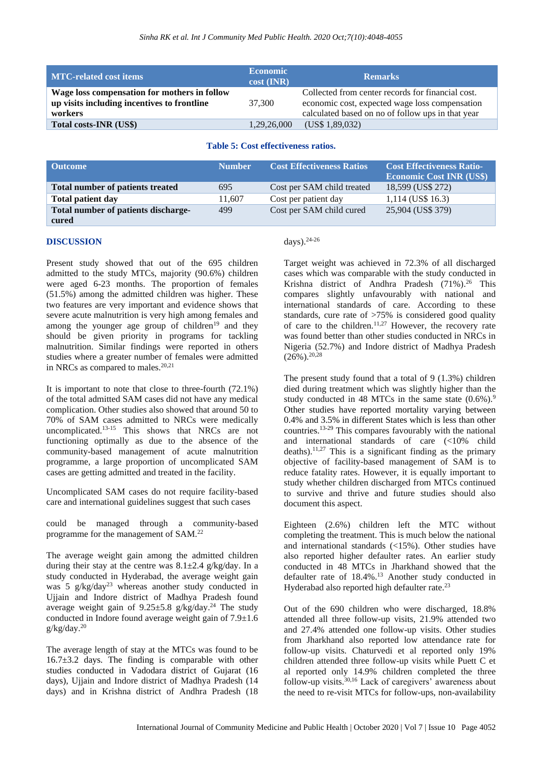| <b>MTC-related cost items</b>                                                                          | <b>Economic</b><br>$cost$ (INR) | <b>Remarks</b>                                                                                                                                           |
|--------------------------------------------------------------------------------------------------------|---------------------------------|----------------------------------------------------------------------------------------------------------------------------------------------------------|
| Wage loss compensation for mothers in follow<br>up visits including incentives to frontline<br>workers | 37,300                          | Collected from center records for financial cost.<br>economic cost, expected wage loss compensation<br>calculated based on no of follow ups in that year |
| Total costs-INR (US\$)                                                                                 | 1,29,26,000                     | (US\$ 1,89,032)                                                                                                                                          |

#### **Table 5: Cost effectiveness ratios.**

| <b>Outcome</b>                          | <b>Number</b> | <b>Cost Effectiveness Ratios</b> | <b>Cost Effectiveness Ratio-</b><br><b>Economic Cost INR (US\$)</b> |
|-----------------------------------------|---------------|----------------------------------|---------------------------------------------------------------------|
| <b>Total number of patients treated</b> | 695           | Cost per SAM child treated       | 18,599 (US\$ 272)                                                   |
| <b>Total patient day</b>                | 11.607        | Cost per patient day             | $1,114$ (US\$ 16.3)                                                 |
| Total number of patients discharge-     | 499           | Cost per SAM child cured         | 25,904 (US\$ 379)                                                   |
| cured                                   |               |                                  |                                                                     |

#### **DISCUSSION**

Present study showed that out of the 695 children admitted to the study MTCs, majority (90.6%) children were aged 6-23 months. The proportion of females (51.5%) among the admitted children was higher. These two features are very important and evidence shows that severe acute malnutrition is very high among females and among the younger age group of children<sup>19</sup> and they should be given priority in programs for tackling malnutrition. Similar findings were reported in others studies where a greater number of females were admitted in NRCs as compared to males.<sup>20,21</sup>

It is important to note that close to three-fourth (72.1%) of the total admitted SAM cases did not have any medical complication. Other studies also showed that around 50 to 70% of SAM cases admitted to NRCs were medically uncomplicated.13-15 This shows that NRCs are not functioning optimally as due to the absence of the community-based management of acute malnutrition programme, a large proportion of uncomplicated SAM cases are getting admitted and treated in the facility.

Uncomplicated SAM cases do not require facility-based care and international guidelines suggest that such cases

could be managed through a community-based programme for the management of SAM.<sup>22</sup>

The average weight gain among the admitted children during their stay at the centre was  $8.1 \pm 2.4$  g/kg/day. In a study conducted in Hyderabad, the average weight gain was 5 g/kg/day<sup>23</sup> whereas another study conducted in Ujjain and Indore district of Madhya Pradesh found average weight gain of  $9.25 \pm 5.8$  g/kg/day.<sup>24</sup> The study conducted in Indore found average weight gain of 7.9±1.6  $g/kg/day.<sup>20</sup>$ 

The average length of stay at the MTCs was found to be 16.7±3.2 days. The finding is comparable with other studies conducted in Vadodara district of Gujarat (16 days), Ujjain and Indore district of Madhya Pradesh (14 days) and in Krishna district of Andhra Pradesh (18

#### days).24-26

Target weight was achieved in 72.3% of all discharged cases which was comparable with the study conducted in Krishna district of Andhra Pradesh (71%). <sup>26</sup> This compares slightly unfavourably with national and international standards of care. According to these standards, cure rate of >75% is considered good quality of care to the children.<sup>11,27</sup> However, the recovery rate was found better than other studies conducted in NRCs in Nigeria (52.7%) and Indore district of Madhya Pradesh  $(26\%)^{20,28}$ 

The present study found that a total of 9 (1.3%) children died during treatment which was slightly higher than the study conducted in 48 MTCs in the same state  $(0.6\%)$ .<sup>9</sup> Other studies have reported mortality varying between 0.4% and 3.5% in different States which is less than other countries.13-29 This compares favourably with the national and international standards of care (<10% child deaths).<sup>11,27</sup> This is a significant finding as the primary objective of facility-based management of SAM is to reduce fatality rates. However, it is equally important to study whether children discharged from MTCs continued to survive and thrive and future studies should also document this aspect.

Eighteen (2.6%) children left the MTC without completing the treatment. This is much below the national and international standards (<15%). Other studies have also reported higher defaulter rates. An earlier study conducted in 48 MTCs in Jharkhand showed that the defaulter rate of 18.4%.<sup>13</sup> Another study conducted in Hyderabad also reported high defaulter rate.<sup>23</sup>

Out of the 690 children who were discharged, 18.8% attended all three follow-up visits, 21.9% attended two and 27.4% attended one follow-up visits. Other studies from Jharkhand also reported low attendance rate for follow-up visits. Chaturvedi et al reported only 19% children attended three follow-up visits while Puett C et al reported only 14.9% children completed the three follow-up visits. $30,16$  Lack of caregivers' awareness about the need to re-visit MTCs for follow-ups, non-availability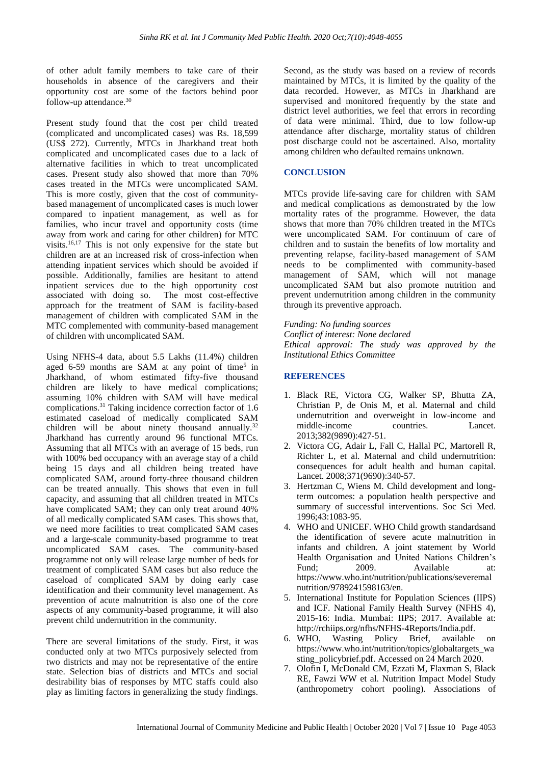of other adult family members to take care of their households in absence of the caregivers and their opportunity cost are some of the factors behind poor follow-up attendance.<sup>30</sup>

Present study found that the cost per child treated (complicated and uncomplicated cases) was Rs. 18,599 (US\$ 272). Currently, MTCs in Jharkhand treat both complicated and uncomplicated cases due to a lack of alternative facilities in which to treat uncomplicated cases. Present study also showed that more than 70% cases treated in the MTCs were uncomplicated SAM. This is more costly, given that the cost of communitybased management of uncomplicated cases is much lower compared to inpatient management, as well as for families, who incur travel and opportunity costs (time away from work and caring for other children) for MTC visits.<sup>16,17</sup> This is not only expensive for the state but children are at an increased risk of cross-infection when attending inpatient services which should be avoided if possible. Additionally, families are hesitant to attend inpatient services due to the high opportunity cost associated with doing so. The most cost-effective approach for the treatment of SAM is facility-based management of children with complicated SAM in the MTC complemented with community-based management of children with uncomplicated SAM.

Using NFHS-4 data, about 5.5 Lakhs (11.4%) children aged 6-59 months are SAM at any point of time<sup>5</sup> in Jharkhand, of whom estimated fifty-five thousand children are likely to have medical complications; assuming 10% children with SAM will have medical complications.<sup>31</sup> Taking incidence correction factor of 1.6 estimated caseload of medically complicated SAM children will be about ninety thousand annually.<sup>32</sup> Jharkhand has currently around 96 functional MTCs. Assuming that all MTCs with an average of 15 beds, run with 100% bed occupancy with an average stay of a child being 15 days and all children being treated have complicated SAM, around forty-three thousand children can be treated annually. This shows that even in full capacity, and assuming that all children treated in MTCs have complicated SAM; they can only treat around 40% of all medically complicated SAM cases. This shows that, we need more facilities to treat complicated SAM cases and a large-scale community-based programme to treat uncomplicated SAM cases. The community-based programme not only will release large number of beds for treatment of complicated SAM cases but also reduce the caseload of complicated SAM by doing early case identification and their community level management. As prevention of acute malnutrition is also one of the core aspects of any community-based programme, it will also prevent child undernutrition in the community.

There are several limitations of the study. First, it was conducted only at two MTCs purposively selected from two districts and may not be representative of the entire state. Selection bias of districts and MTCs and social desirability bias of responses by MTC staffs could also play as limiting factors in generalizing the study findings.

Second, as the study was based on a review of records maintained by MTCs, it is limited by the quality of the data recorded. However, as MTCs in Jharkhand are supervised and monitored frequently by the state and district level authorities, we feel that errors in recording of data were minimal. Third, due to low follow-up attendance after discharge, mortality status of children post discharge could not be ascertained. Also, mortality among children who defaulted remains unknown.

#### **CONCLUSION**

MTCs provide life-saving care for children with SAM and medical complications as demonstrated by the low mortality rates of the programme. However, the data shows that more than 70% children treated in the MTCs were uncomplicated SAM. For continuum of care of children and to sustain the benefits of low mortality and preventing relapse, facility-based management of SAM needs to be complimented with community-based management of SAM, which will not manage uncomplicated SAM but also promote nutrition and prevent undernutrition among children in the community through its preventive approach.

*Funding: No funding sources Conflict of interest: None declared Ethical approval: The study was approved by the Institutional Ethics Committee*

#### **REFERENCES**

- 1. Black RE, Victora CG, Walker SP, Bhutta ZA, Christian P, de Onis M, et al. Maternal and child undernutrition and overweight in low-income and middle-income countries. Lancet. 2013;382(9890):427-51.
- 2. Victora CG, Adair L, Fall C, Hallal PC, Martorell R, Richter L, et al. Maternal and child undernutrition: consequences for adult health and human capital. Lancet. 2008;371(9690):340-57.
- 3. Hertzman C, Wiens M. Child development and longterm outcomes: a population health perspective and summary of successful interventions. Soc Sci Med. 1996;43:1083-95.
- 4. WHO and UNICEF. WHO Child growth standardsand the identification of severe acute malnutrition in infants and children. A joint statement by World Health Organisation and United Nations Children's Fund: 2009. Available at: https://www.who.int/nutrition/publications/severemal nutrition/9789241598163/en.
- 5. International Institute for Population Sciences (IIPS) and ICF. National Family Health Survey (NFHS 4), 2015-16: India. Mumbai: IIPS; 2017. Available at: http://rchiips.org/nfhs/NFHS-4Reports/India.pdf.
- 6. WHO, Wasting Policy Brief, available on https://www.who.int/nutrition/topics/globaltargets\_wa sting\_policybrief.pdf. Accessed on 24 March 2020.
- 7. Olofin I, McDonald CM, Ezzati M, Flaxman S, Black RE, Fawzi WW et al. Nutrition Impact Model Study (anthropometry cohort pooling). Associations of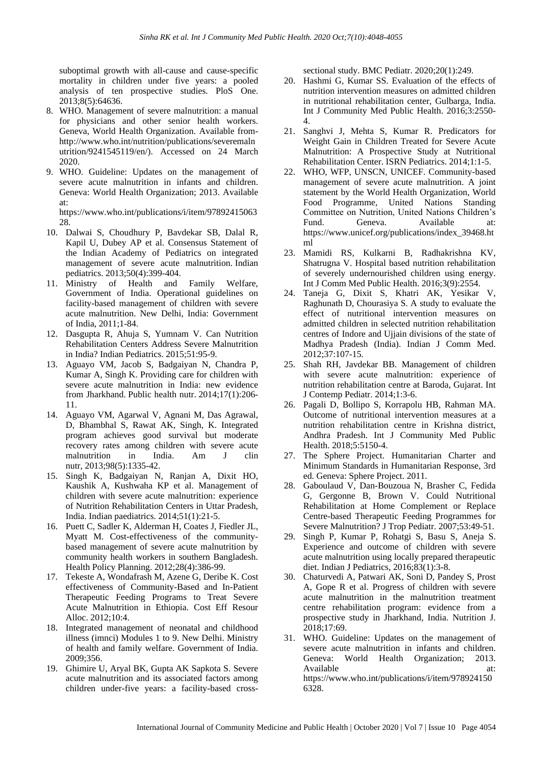suboptimal growth with all-cause and cause-specific mortality in children under five years: a pooled analysis of ten prospective studies. PloS One. 2013;8(5):64636.

- 8. WHO. Management of severe malnutrition: a manual for physicians and other senior health workers. Geneva, World Health Organization. Available fromhttp://www.who.int/nutrition/publications/severemaln utrition/9241545119/en/). Accessed on 24 March 2020.
- 9. WHO. Guideline: Updates on the management of severe acute malnutrition in infants and children. Geneva: World Health Organization; 2013. Available at:

https://www.who.int/publications/i/item/97892415063 28.

- 10. Dalwai S, Choudhury P, Bavdekar SB, Dalal R, Kapil U, Dubey AP et al. Consensus Statement of the Indian Academy of Pediatrics on integrated management of severe acute malnutrition. Indian pediatrics. 2013;50(4):399-404.
- 11. Ministry of Health and Family Welfare, Government of India. Operational guidelines on facility-based management of children with severe acute malnutrition. New Delhi, India: Government of India, 2011;1-84.
- 12. Dasgupta R, Ahuja S, Yumnam V. Can Nutrition Rehabilitation Centers Address Severe Malnutrition in India? Indian Pediatrics. 2015;51:95-9.
- 13. Aguayo VM, Jacob S, Badgaiyan N, Chandra P, Kumar A, Singh K. Providing care for children with severe acute malnutrition in India: new evidence from Jharkhand. Public health nutr. 2014;17(1):206- 11.
- 14. Aguayo VM, Agarwal V, Agnani M, Das Agrawal, D, Bhambhal S, Rawat AK, Singh, K. Integrated program achieves good survival but moderate recovery rates among children with severe acute malnutrition in India. Am J clin nutr, 2013;98(5):1335-42.
- 15. Singh K, Badgaiyan N, Ranjan A, Dixit HO, Kaushik A, Kushwaha KP et al. Management of children with severe acute malnutrition: experience of Nutrition Rehabilitation Centers in Uttar Pradesh, India. Indian paediatrics. 2014;51(1):21-5.
- 16. Puett C, Sadler K, Alderman H, Coates J, Fiedler JL, Myatt M. Cost-effectiveness of the communitybased management of severe acute malnutrition by community health workers in southern Bangladesh. Health Policy Planning. 2012;28(4):386-99.
- 17. Tekeste A, Wondafrash M, Azene G, Deribe K. Cost effectiveness of Community-Based and In-Patient Therapeutic Feeding Programs to Treat Severe Acute Malnutrition in Ethiopia. Cost Eff Resour Alloc. 2012;10:4.
- 18. Integrated management of neonatal and childhood illness (imnci) Modules 1 to 9. New Delhi. Ministry of health and family welfare. Government of India. 2009;356.
- 19. Ghimire U, Aryal BK, Gupta AK Sapkota S. Severe acute malnutrition and its associated factors among children under-five years: a facility-based cross-

sectional study. BMC Pediatr. 2020;20(1):249.

- 20. Hashmi G, Kumar SS. Evaluation of the effects of nutrition intervention measures on admitted children in nutritional rehabilitation center, Gulbarga, India. Int J Community Med Public Health. 2016;3:2550- 4.
- 21. Sanghvi J, Mehta S, Kumar R. Predicators for Weight Gain in Children Treated for Severe Acute Malnutrition: A Prospective Study at Nutritional Rehabilitation Center. ISRN Pediatrics. 2014;1:1-5.
- 22. WHO, WFP, UNSCN, UNICEF. Community-based management of severe acute malnutrition. A joint statement by the World Health Organization, World Food Programme, United Nations Standing Committee on Nutrition, United Nations Children's Fund. Geneva. Available at: https://www.unicef.org/publications/index\_39468.ht ml
- 23. Mamidi RS, Kulkarni B, Radhakrishna KV, Shatrugna V. Hospital based nutrition rehabilitation of severely undernourished children using energy. Int J Comm Med Public Health. 2016;3(9):2554.
- 24. Taneja G, Dixit S, Khatri AK, Yesikar V, Raghunath D, Chourasiya S. A study to evaluate the effect of nutritional intervention measures on admitted children in selected nutrition rehabilitation centres of Indore and Ujjain divisions of the state of Madhya Pradesh (India). Indian J Comm Med. 2012;37:107-15.
- 25. Shah RH, Javdekar BB. Management of children with severe acute malnutrition: experience of nutrition rehabilitation centre at Baroda, Gujarat. Int J Contemp Pediatr. 2014;1:3-6.
- 26. Pagali D, Bollipo S, Korrapolu HB, Rahman MA. Outcome of nutritional intervention measures at a nutrition rehabilitation centre in Krishna district, Andhra Pradesh. Int J Community Med Public Health. 2018;5:5150-4.
- 27. The Sphere Project. Humanitarian Charter and Minimum Standards in Humanitarian Response, 3rd ed. Geneva: Sphere Project. 2011.
- 28. Gaboulaud V, Dan-Bouzoua N, Brasher C, Fedida G, Gergonne B, Brown V. Could Nutritional Rehabilitation at Home Complement or Replace Centre-based Therapeutic Feeding Programmes for Severe Malnutrition? J Trop Pediatr. 2007;53:49-51.
- 29. Singh P, Kumar P, Rohatgi S, Basu S, Aneja S. Experience and outcome of children with severe acute malnutrition using locally prepared therapeutic diet. Indian J Pediatrics, 2016;83(1):3-8.
- 30. Chaturvedi A, Patwari AK, Soni D, Pandey S, Prost A, Gope R et al. Progress of children with severe acute malnutrition in the malnutrition treatment centre rehabilitation program: evidence from a prospective study in Jharkhand, India. Nutrition J. 2018;17:69.
- 31. WHO. Guideline: Updates on the management of severe acute malnutrition in infants and children. Geneva: World Health Organization; 2013. Available at: at: https://www.who.int/publications/i/item/978924150 6328.